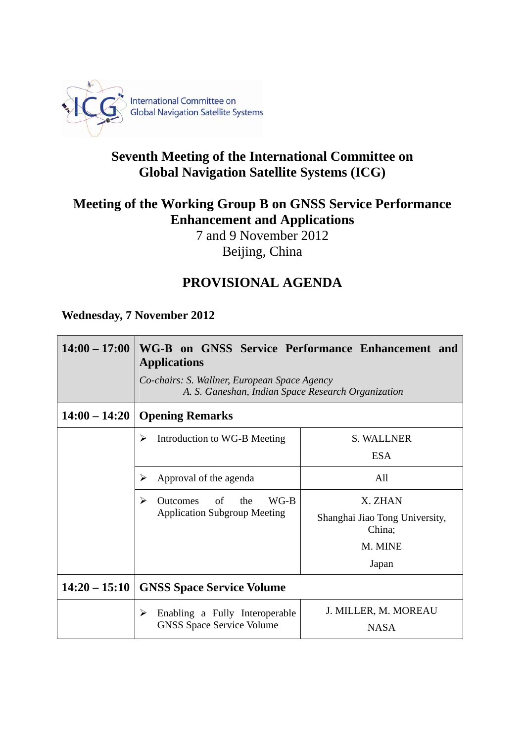

## **Seventh Meeting of the International Committee on Global Navigation Satellite Systems (ICG)**

## **Meeting of the Working Group B on GNSS Service Performance Enhancement and Applications**

7 and 9 November 2012 Beijing, China

## **PROVISIONAL AGENDA**

**Wednesday, 7 November 2012** 

| $14:00 - 17:00$ | WG-B on GNSS Service Performance Enhancement and<br><b>Applications</b><br>Co-chairs: S. Wallner, European Space Agency<br>A. S. Ganeshan, Indian Space Research Organization |                                          |
|-----------------|-------------------------------------------------------------------------------------------------------------------------------------------------------------------------------|------------------------------------------|
| $14:00 - 14:20$ | <b>Opening Remarks</b>                                                                                                                                                        |                                          |
|                 | Introduction to WG-B Meeting<br>➤                                                                                                                                             | <b>S. WALLNER</b>                        |
|                 |                                                                                                                                                                               | <b>ESA</b>                               |
|                 | Approval of the agenda<br>⋗                                                                                                                                                   | A11                                      |
|                 | WG-B<br>➤<br>of<br>the<br><b>Outcomes</b><br><b>Application Subgroup Meeting</b>                                                                                              | X. ZHAN                                  |
|                 |                                                                                                                                                                               | Shanghai Jiao Tong University,<br>China; |
|                 |                                                                                                                                                                               | M. MINE                                  |
|                 |                                                                                                                                                                               | Japan                                    |
| $14:20 - 15:10$ | <b>GNSS Space Service Volume</b>                                                                                                                                              |                                          |
|                 | Enabling a Fully Interoperable<br>➤<br><b>GNSS Space Service Volume</b>                                                                                                       | J. MILLER, M. MOREAU                     |
|                 |                                                                                                                                                                               | <b>NASA</b>                              |